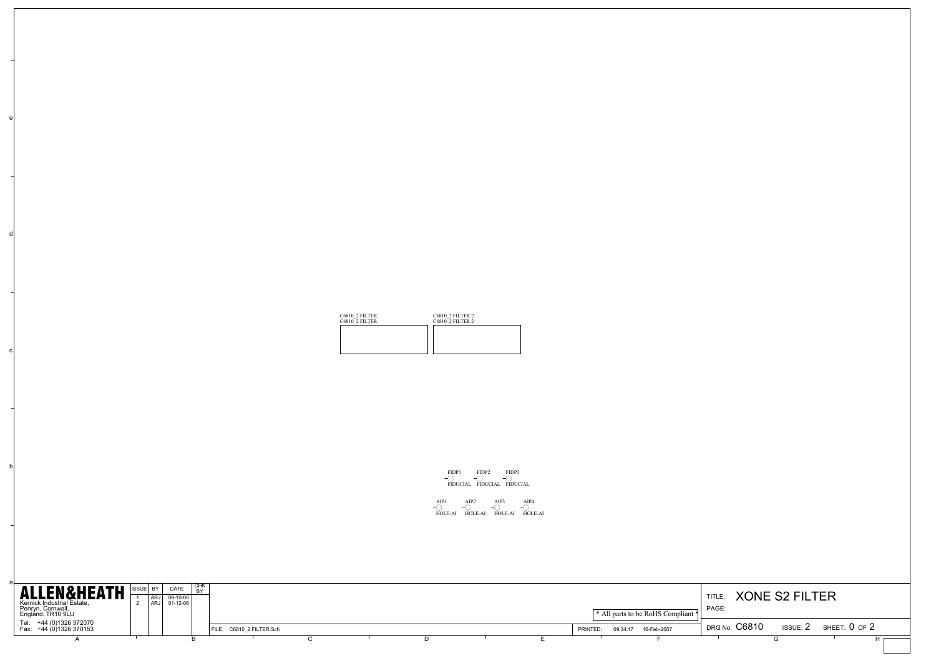| C6810 2 FILTER<br>C6810 <sup>2</sup> FILTER | <b>C6810 2 FILTER 2</b><br>C6810 2 FILTER 2 |  |  |  |  |  |
|---------------------------------------------|---------------------------------------------|--|--|--|--|--|
|                                             |                                             |  |  |  |  |  |
|                                             |                                             |  |  |  |  |  |
|                                             |                                             |  |  |  |  |  |



AIP1 HOLE-AI AIP2 HOLE-AI AIP3 HOLE-AI AIP4 HOLE-AI

| <b>ALLEN&amp;HEATH</b>                                               | ISSUEL BY |                   | DATE                   | CHK<br>. RY |  |                          |  |                                    |                                     |                                  |               |
|----------------------------------------------------------------------|-----------|-------------------|------------------------|-------------|--|--------------------------|--|------------------------------------|-------------------------------------|----------------------------------|---------------|
|                                                                      |           | <b>ARJ</b><br>ARJ | $09-10-06$<br>01-12-06 |             |  |                          |  |                                    | <b>XONE S2 FILTER</b><br>TITLE:     |                                  |               |
| Kernick Industrial Estate,<br>Penryn, Cornwall,<br>England. TR10 9LU |           |                   |                        |             |  |                          |  | * All parts to be RoHS Compliant * | <b>PAGE</b>                         |                                  |               |
| Tel: +44 (0)1326 372070                                              |           |                   |                        |             |  |                          |  |                                    |                                     |                                  |               |
| Fax: +44 (0)1326 370153                                              |           |                   |                        |             |  | FILE: C6810_2 FILTER.Sch |  |                                    | 16-Feb-2007<br>09:34:17<br>PRINTED: | DRG No: C6810<br><b>ISSUE: 2</b> | SHEET: 0 OF 2 |
|                                                                      |           |                   |                        |             |  |                          |  |                                    |                                     |                                  |               |
|                                                                      |           |                   |                        |             |  |                          |  |                                    |                                     |                                  |               |

a

b

c

d

e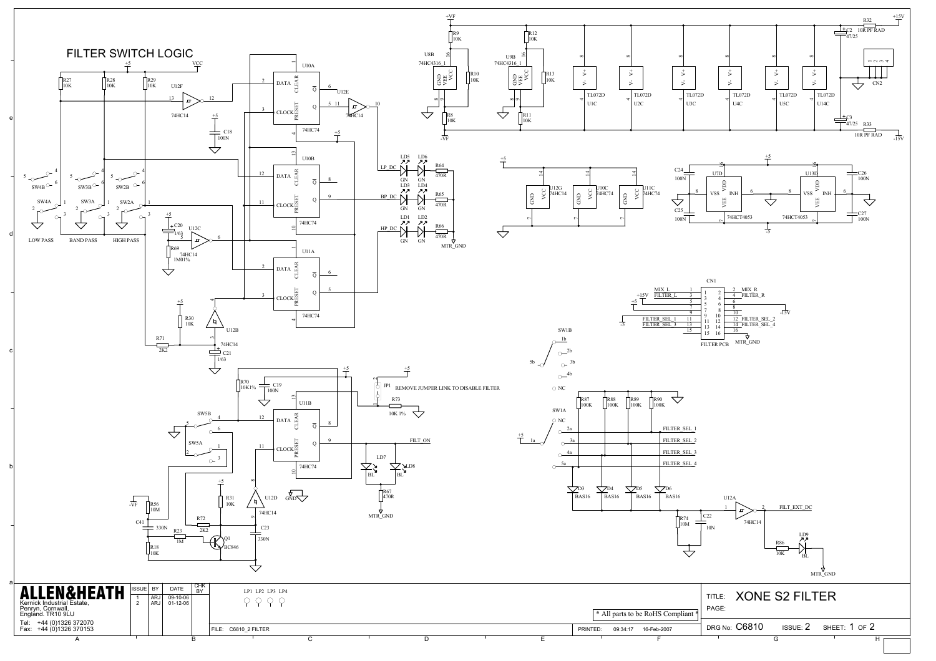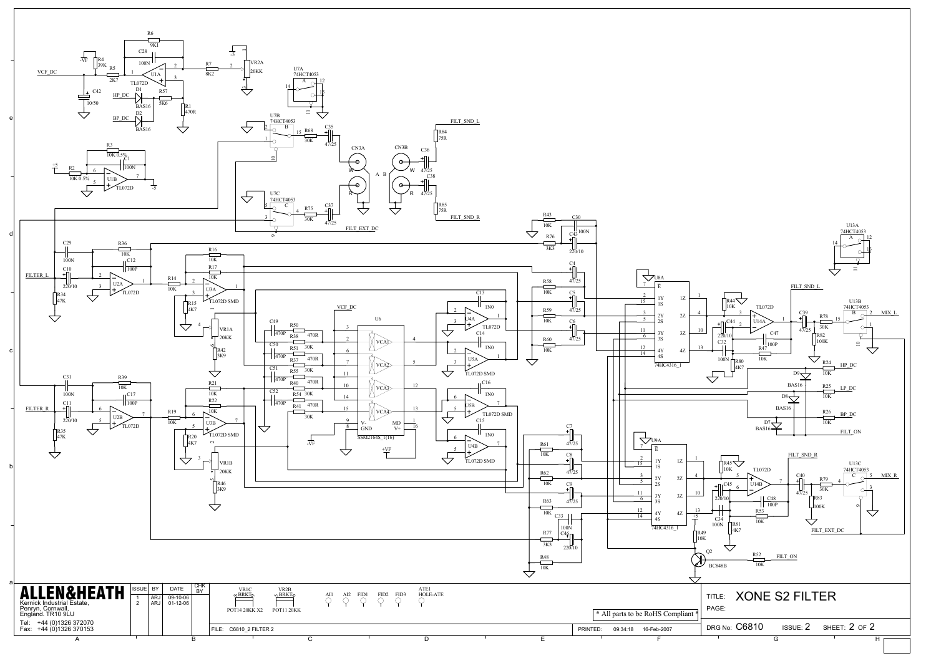